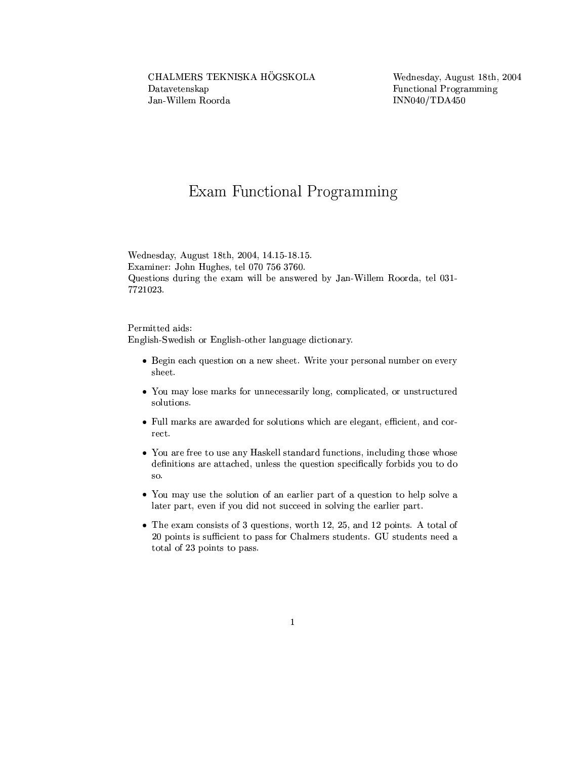## Exam Functional Programming

Wednesday, August 18th, 2004, 14.15-18.15. Examiner: John Hughes, tel 070 756 3760. Questions during the exam will be answered by Jan-Willem Roorda, tel 031-7721023.

Permitted aids: English-Swedish or English-other language dictionary.

- Begin each question on a new sheet. Write your personal number on every sheet.
- You may lose marks for unnecessarily long, complicated, or unstructured solutions.
- Full marks are awarded for solutions which are elegant, efficient, and correct.
- You are free to use any Haskell standard functions, including those whose definitions are attached, unless the question specifically forbids you to do so.
- You may use the solution of an earlier part of a question to help solve a later part, even if you did not succeed in solving the earlier part.
- The exam consists of 3 questions, worth 12, 25, and 12 points. A total of 20 points is sufficient to pass for Chalmers students. GU students need a total of 23 points to pass.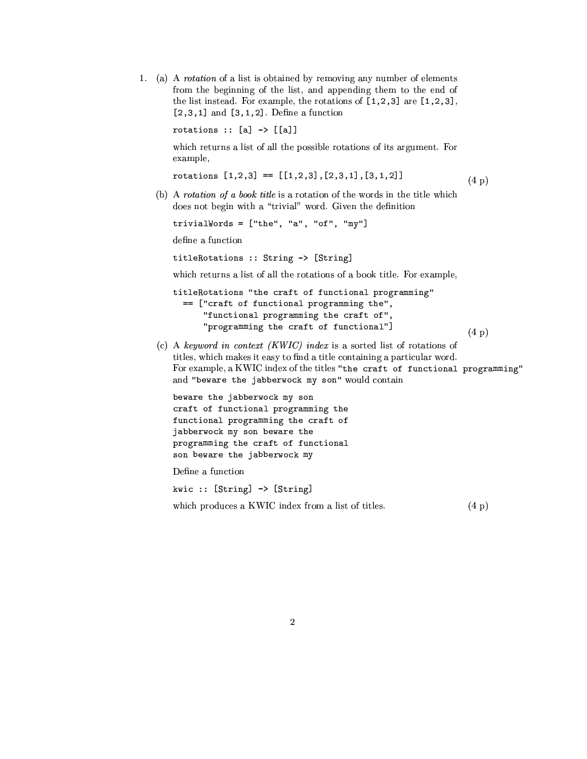1. (a) A rotation of a list is obtained by removing any number of elements from the beginning of the list, and appending them to the end of the list instead. For example, the rotations of  $[1,2,3]$  are  $[1,2,3]$ ,  $[2,3,1]$  and  $[3,1,2]$ . Define a function

rotations ::  $[a]$  ->  $[[a]]$ 

which returns a list of all the possible rotations of its argument. For example,

rotations  $[1,2,3] == [[1,2,3],[2,3,1],[3,1,2]]$  $(4\;p)$ 

(b) A rotation of a book title is a rotation of the words in the title which does not begin with a "trivial" word. Given the definition

trivialWords =  $['the", "a", "of", "my"]$ 

define a function

titleRotations :: String -> [String]

which returns a list of all the rotations of a book title. For example,

```
titleRotations "the craft of functional programming"
  == ["craft of functional programming the",
      "functional programming the craft of",
      "programming the craft of functional"]
                                                               (4\,\mathrm{p})
```
(c) A keyword in context (KWIC) index is a sorted list of rotations of titles, which makes it easy to find a title containing a particular word. For example, a KWIC index of the titles "the craft of functional programming" and "beware the jabberwock my son" would contain

beware the jabberwock my son craft of functional programming the functional programming the craft of jabberwock my son beware the programming the craft of functional son beware the jabberwock my

Define a function

kwic :: [String] -> [String]

which produces a KWIC index from a list of titles.  $(4 p)$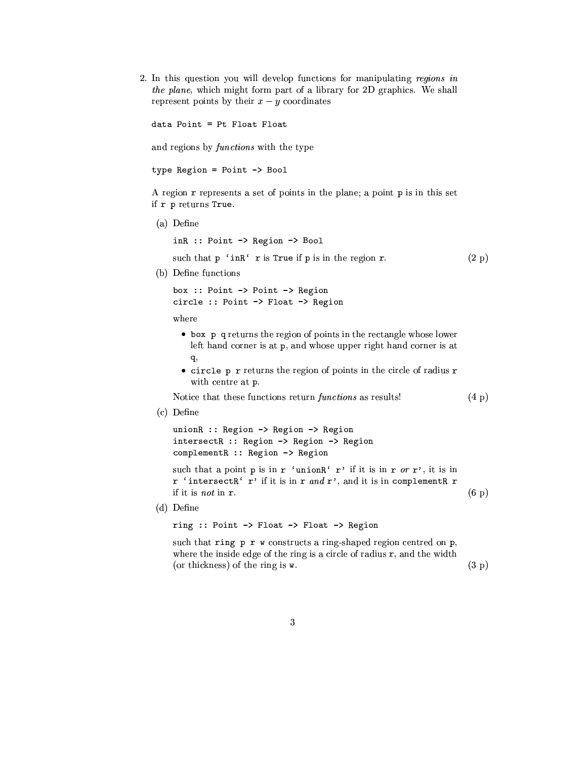2. In this question you will develop functions for manipulating regions in the plane, which might form part of a library for 2D graphics. We shall represent points by their  $x - y$  coordinates

data Point = Pt Float Float

and regions by *functions* with the type

type Region = Point -> Bool

A region r represents a set of points in the plane; a point p is in this set if r p returns True.

(a) Define

inR :: Point -> Region -> Bool such that p 'inR' r is True if p is in the region r.

 $(2 p)$ 

 $(4\;p)$ 

(b) Define functions

box :: Point -> Point -> Region circle :: Point -> Float -> Region

where

- box p q returns the region of points in the rectangle whose lower left hand corner is at p, and whose upper right hand corner is at q,
- $\bullet$  circle p r returns the region of points in the circle of radius r with centre at p.

Notice that these functions return *functions* as results!

 $(c)$  Define

unionR :: Region -> Region -> Region intersectR :: Region -> Region -> Region complementR :: Region -> Region

such that a point p is in r 'unionR' r' if it is in r or r', it is in r 'intersectR' r' if it is in r and r', and it is in complementR r if it is not in r.  $(6\ p)$ 

 $(d)$  Define

ring :: Point -> Float -> Float -> Region

such that ring  $p \rightharpoondown w$  constructs a ring-shaped region centred on  $p$ , where the inside edge of the ring is a circle of radius  $r$ , and the width  $(3 p)$ (or thickness) of the ring is w.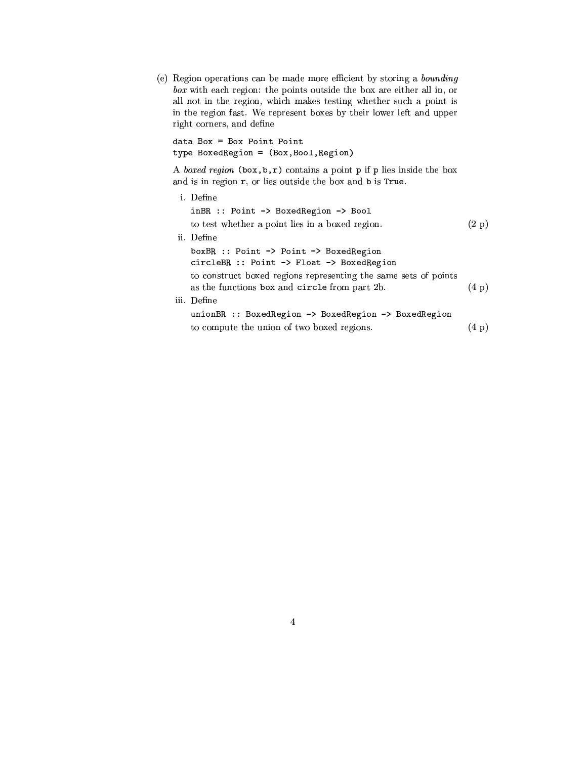(e) Region operations can be made more efficient by storing a bounding  $box$  with each region: the points outside the box are either all in, or all not in the region, which makes testing whether such a point is in the region fast. We represent boxes by their lower left and upper right corners, and define

 $data Box = Box Point Point$ type BoxedRegion = (Box, Bool, Region)

A boxed region  $(\mathtt{box},\mathtt{b},\mathtt{r})$  contains a point  $\mathtt{p}$  if  $\mathtt{p}$  lies inside the box and is in region r, or lies outside the box and b is True.

| i. Define                                                                                                        |                |
|------------------------------------------------------------------------------------------------------------------|----------------|
| inBR :: Point -> BoxedRegion -> Bool                                                                             |                |
| to test whether a point lies in a boxed region.                                                                  | (2 p)          |
| ii. Define                                                                                                       |                |
| $boxBR$ :: Point $\rightarrow$ Point $\rightarrow$ Boxed Region<br>circleBR :: Point -> Float -> BoxedRegion     |                |
| to construct boxed regions representing the same sets of points<br>as the functions box and circle from part 2b. | $(4\;{\rm p})$ |
| iii. Define                                                                                                      |                |
| unionBR :: BoxedRegion -> BoxedRegion -> BoxedRegion                                                             |                |
| to compute the union of two boxed regions.                                                                       | $(4\;p)$       |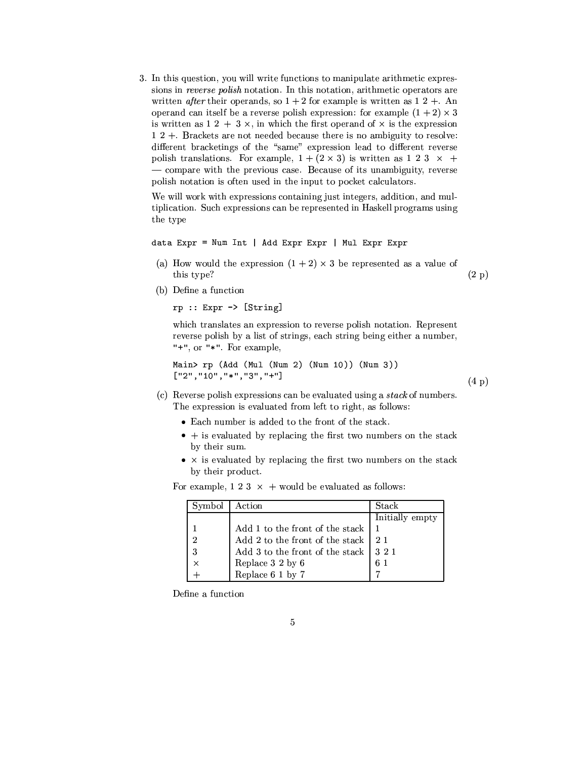3. In this question, you will write functions to manipulate arithmetic expressions in reverse polish notation. In this notation, arithmetic operators are written *after* their operands, so  $1+2$  for example is written as  $12 + A$ n operand can itself be a reverse polish expression: for example  $(1 + 2) \times 3$ is written as  $1\ 2\ +\ 3\ \times$ , in which the first operand of  $\times$  is the expression  $12 +$ . Brackets are not needed because there is no ambiguity to resolve: different bracketings of the "same" expression lead to different reverse polish translations. For example,  $1 + (2 \times 3)$  is written as 1 2 3  $\times$  + - compare with the previous case. Because of its unambiguity, reverse polish notation is often used in the input to pocket calculators.

We will work with expressions containing just integers, addition, and multiplication. Such expressions can be represented in Haskell programs using the type

```
data Expr = Num Int | Add Expr Expr | Mul Expr Expr
```
(a) How would the expression  $(1 + 2) \times 3$  be represented as a value of this type?

 $(2 p)$ 

 $(4\;p)$ 

(b) Define a function

```
rp :: Expr \rightarrow [String]
```
which translates an expression to reverse polish notation. Represent reverse polish by a list of strings, each string being either a number, "+", or " $*$ ". For example,

```
Main> rp (Add (Mul (Num 2) (Num 10)) (Num 3))
["2", "10", "*", "3", "+"]
```
- (c) Reverse polish expressions can be evaluated using a stack of numbers. The expression is evaluated from left to right, as follows:
	- Each number is added to the front of the stack.
	- $\bullet$  + is evaluated by replacing the first two numbers on the stack by their sum.
	- $\bullet$  x is evaluated by replacing the first two numbers on the stack by their product.

| Symbol   | Action                                                                            | Stack           |
|----------|-----------------------------------------------------------------------------------|-----------------|
|          |                                                                                   | Initially empty |
|          | Add 1 to the front of the stack                                                   |                 |
| 2        | Add 2 to the front of the stack                                                   |                 |
| -3       | Add 3 to the front of the stack                                                   | 321             |
| $\times$ |                                                                                   | 61              |
|          | $\begin{array}{c} \text{Replace 3 2 by 6} \\ \text{Replace 6 1 by 7} \end{array}$ |                 |

For example,  $1\ 2\ 3\ \times\ +$  would be evaluated as follows:

Define a function